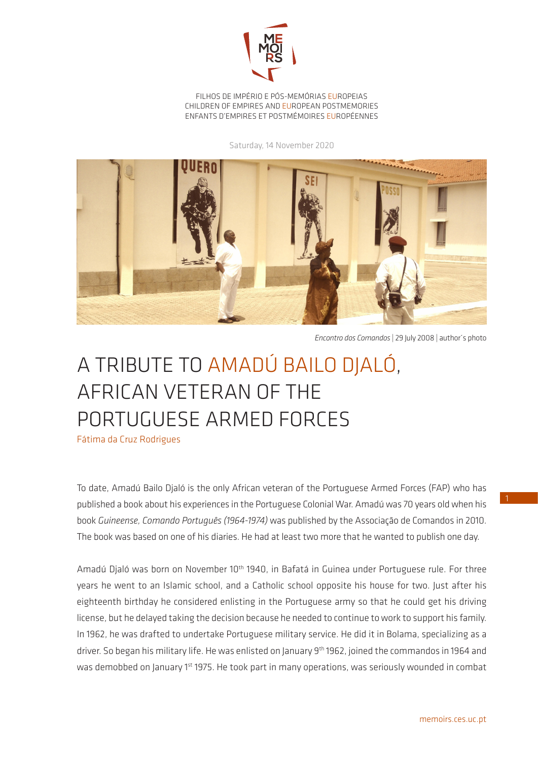

FILHOS DE IMPÉRIO E PÓS-MEMÓRIAS EUROPEIAS CHILDREN OF EMPIRES AND EUROPEAN POSTMEMORIES ENFANTS D'EMPIRES ET POSTMÉMOIRES EUROPÉENNES

Saturday, 14 November 2020



*Encontro dos Comandos* | 29 July 2008 | author´s photo

## A TRIBUTE TO AMADÚ BAILO DJALÓ, AFRICAN VETERAN OF THE PORTUGUESE ARMED FORCES

Fátima da Cruz Rodrigues

To date, Amadú Bailo Djaló is the only African veteran of the Portuguese Armed Forces (FAP) who has published a book about his experiences in the Portuguese Colonial War. Amadú was 70 years old when his book *Guineense, Comando Português (1964-1974)* was published by the Associação de Comandos in 2010. The book was based on one of his diaries. He had at least two more that he wanted to publish one day.

Amadú Djaló was born on November 10<sup>th</sup> 1940, in Bafatá in Guinea under Portuguese rule. For three years he went to an Islamic school, and a Catholic school opposite his house for two. Just after his eighteenth birthday he considered enlisting in the Portuguese army so that he could get his driving license, but he delayed taking the decision because he needed to continue to work to support his family. In 1962, he was drafted to undertake Portuguese military service. He did it in Bolama, specializing as a driver. So began his military life. He was enlisted on January 9<sup>th</sup> 1962, joined the commandos in 1964 and was demobbed on January 1<sup>st</sup> 1975. He took part in many operations, was seriously wounded in combat 1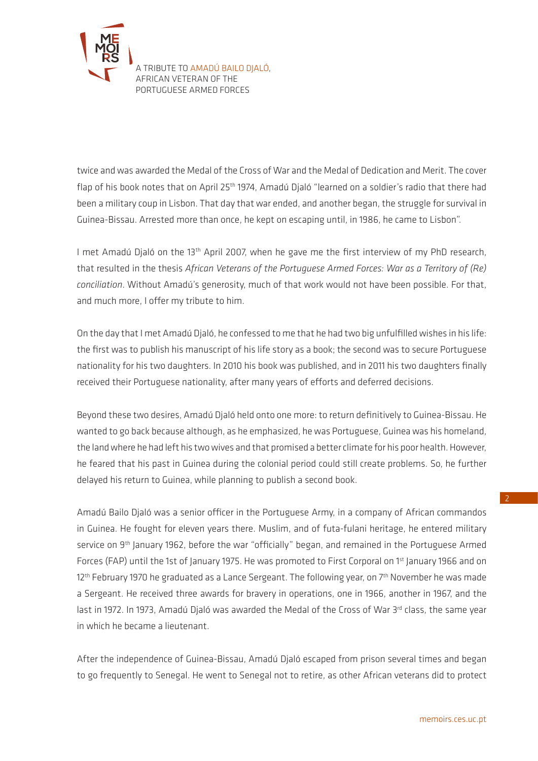

twice and was awarded the Medal of the Cross of War and the Medal of Dedication and Merit. The cover flap of his book notes that on April 25<sup>th</sup> 1974, Amadú Djaló "learned on a soldier's radio that there had been a military coup in Lisbon. That day that war ended, and another began, the struggle for survival in Guinea-Bissau. Arrested more than once, he kept on escaping until, in 1986, he came to Lisbon".

I met Amadú Djaló on the 13<sup>th</sup> April 2007, when he gave me the first interview of my PhD research, that resulted in the thesis *African Veterans of the Portuguese Armed Forces: War as a Territory of (Re) conciliation*. Without Amadú's generosity, much of that work would not have been possible. For that, and much more, I offer my tribute to him.

On the day that I met Amadú Djaló, he confessed to me that he had two big unfulfilled wishes in his life: the first was to publish his manuscript of his life story as a book; the second was to secure Portuguese nationality for his two daughters. In 2010 his book was published, and in 2011 his two daughters finally received their Portuguese nationality, after many years of efforts and deferred decisions.

Beyond these two desires, Amadú Djaló held onto one more: to return definitively to Guinea-Bissau. He wanted to go back because although, as he emphasized, he was Portuguese, Guinea was his homeland, the land where he had left his two wives and that promised a better climate for his poor health. However, he feared that his past in Guinea during the colonial period could still create problems. So, he further delayed his return to Guinea, while planning to publish a second book.

Amadú Bailo Djaló was a senior officer in the Portuguese Army, in a company of African commandos in Guinea. He fought for eleven years there. Muslim, and of futa-fulani heritage, he entered military service on 9<sup>th</sup> January 1962, before the war "officially" began, and remained in the Portuguese Armed Forces (FAP) until the 1st of January 1975. He was promoted to First Corporal on 1<sup>st</sup> January 1966 and on 12<sup>th</sup> February 1970 he graduated as a Lance Sergeant. The following year, on 7<sup>th</sup> November he was made a Sergeant. He received three awards for bravery in operations, one in 1966, another in 1967, and the last in 1972. In 1973, Amadú Djaló was awarded the Medal of the Cross of War 3<sup>rd</sup> class, the same year in which he became a lieutenant.

After the independence of Guinea-Bissau, Amadú Djaló escaped from prison several times and began to go frequently to Senegal. He went to Senegal not to retire, as other African veterans did to protect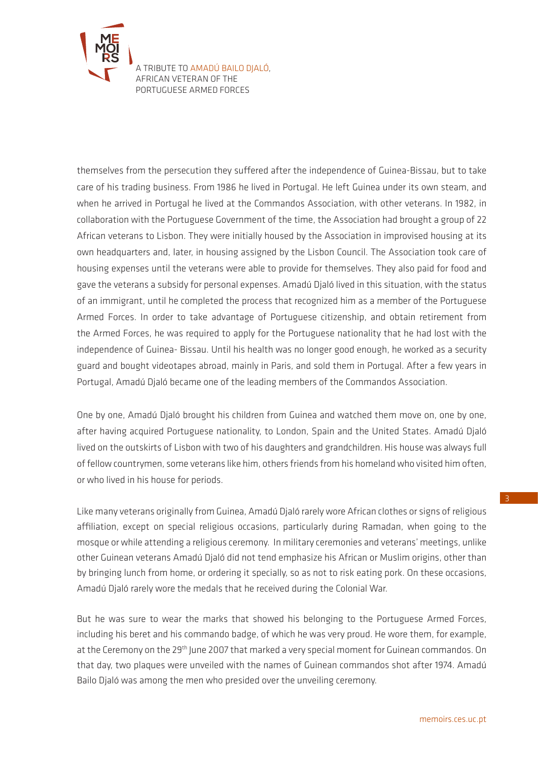

themselves from the persecution they suffered after the independence of Guinea-Bissau, but to take care of his trading business. From 1986 he lived in Portugal. He left Guinea under its own steam, and when he arrived in Portugal he lived at the Commandos Association, with other veterans. In 1982, in collaboration with the Portuguese Government of the time, the Association had brought a group of 22 African veterans to Lisbon. They were initially housed by the Association in improvised housing at its own headquarters and, later, in housing assigned by the Lisbon Council. The Association took care of housing expenses until the veterans were able to provide for themselves. They also paid for food and gave the veterans a subsidy for personal expenses. Amadú Djaló lived in this situation, with the status of an immigrant, until he completed the process that recognized him as a member of the Portuguese Armed Forces. In order to take advantage of Portuguese citizenship, and obtain retirement from the Armed Forces, he was required to apply for the Portuguese nationality that he had lost with the independence of Guinea- Bissau. Until his health was no longer good enough, he worked as a security guard and bought videotapes abroad, mainly in Paris, and sold them in Portugal. After a few years in Portugal, Amadú Djaló became one of the leading members of the Commandos Association.

One by one, Amadú Djaló brought his children from Guinea and watched them move on, one by one, after having acquired Portuguese nationality, to London, Spain and the United States. Amadú Djaló lived on the outskirts of Lisbon with two of his daughters and grandchildren. His house was always full of fellow countrymen, some veterans like him, others friends from his homeland who visited him often, or who lived in his house for periods.

Like many veterans originally from Guinea, Amadú Djaló rarely wore African clothes or signs of religious affiliation, except on special religious occasions, particularly during Ramadan, when going to the mosque or while attending a religious ceremony. In military ceremonies and veterans' meetings, unlike other Guinean veterans Amadú Djaló did not tend emphasize his African or Muslim origins, other than by bringing lunch from home, or ordering it specially, so as not to risk eating pork. On these occasions, Amadú Djaló rarely wore the medals that he received during the Colonial War.

But he was sure to wear the marks that showed his belonging to the Portuguese Armed Forces, including his beret and his commando badge, of which he was very proud. He wore them, for example, at the Ceremony on the 29<sup>th</sup> June 2007 that marked a very special moment for Guinean commandos. On that day, two plaques were unveiled with the names of Guinean commandos shot after 1974. Amadú Bailo Djaló was among the men who presided over the unveiling ceremony.